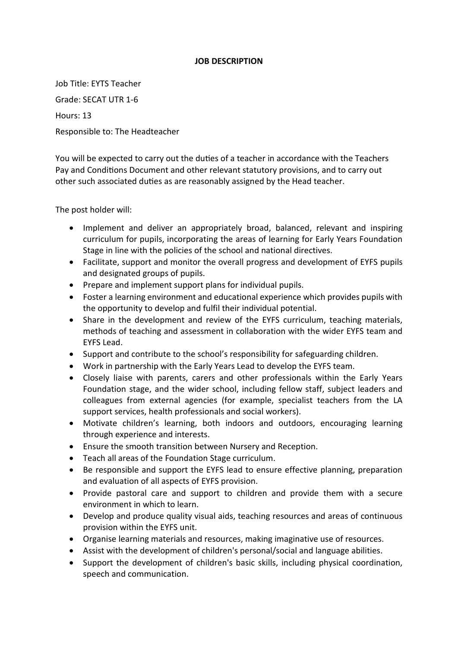## **JOB DESCRIPTION**

Job Title: EYTS Teacher Grade: SECAT UTR 1-6 Hours: 13 Responsible to: The Headteacher

You will be expected to carry out the duties of a teacher in accordance with the Teachers Pay and Conditions Document and other relevant statutory provisions, and to carry out other such associated duties as are reasonably assigned by the Head teacher.

The post holder will:

- Implement and deliver an appropriately broad, balanced, relevant and inspiring curriculum for pupils, incorporating the areas of learning for Early Years Foundation Stage in line with the policies of the school and national directives.
- Facilitate, support and monitor the overall progress and development of EYFS pupils and designated groups of pupils.
- Prepare and implement support plans for individual pupils.
- Foster a learning environment and educational experience which provides pupils with the opportunity to develop and fulfil their individual potential.
- Share in the development and review of the EYFS curriculum, teaching materials, methods of teaching and assessment in collaboration with the wider EYFS team and EYFS Lead.
- Support and contribute to the school's responsibility for safeguarding children.
- Work in partnership with the Early Years Lead to develop the EYFS team.
- Closely liaise with parents, carers and other professionals within the Early Years Foundation stage, and the wider school, including fellow staff, subject leaders and colleagues from external agencies (for example, specialist teachers from the LA support services, health professionals and social workers).
- Motivate children's learning, both indoors and outdoors, encouraging learning through experience and interests.
- Ensure the smooth transition between Nursery and Reception.
- Teach all areas of the Foundation Stage curriculum.
- Be responsible and support the EYFS lead to ensure effective planning, preparation and evaluation of all aspects of EYFS provision.
- Provide pastoral care and support to children and provide them with a secure environment in which to learn.
- Develop and produce quality visual aids, teaching resources and areas of continuous provision within the EYFS unit.
- Organise learning materials and resources, making imaginative use of resources.
- Assist with the development of children's personal/social and language abilities.
- Support the development of children's basic skills, including physical coordination, speech and communication.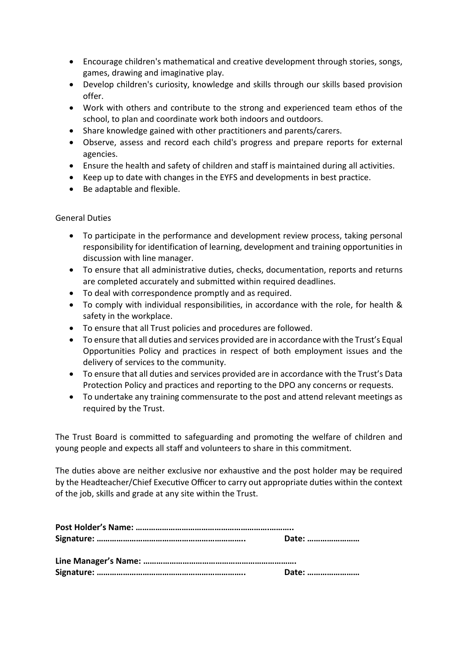- Encourage children's mathematical and creative development through stories, songs, games, drawing and imaginative play.
- Develop children's curiosity, knowledge and skills through our skills based provision offer.
- Work with others and contribute to the strong and experienced team ethos of the school, to plan and coordinate work both indoors and outdoors.
- Share knowledge gained with other practitioners and parents/carers.
- Observe, assess and record each child's progress and prepare reports for external agencies.
- Ensure the health and safety of children and staff is maintained during all activities.
- Keep up to date with changes in the EYFS and developments in best practice.
- Be adaptable and flexible.

## General Duties

- To participate in the performance and development review process, taking personal responsibility for identification of learning, development and training opportunities in discussion with line manager.
- To ensure that all administrative duties, checks, documentation, reports and returns are completed accurately and submitted within required deadlines.
- To deal with correspondence promptly and as required.
- To comply with individual responsibilities, in accordance with the role, for health & safety in the workplace.
- To ensure that all Trust policies and procedures are followed.
- To ensure that all duties and services provided are in accordance with the Trust's Equal Opportunities Policy and practices in respect of both employment issues and the delivery of services to the community.
- To ensure that all duties and services provided are in accordance with the Trust's Data Protection Policy and practices and reporting to the DPO any concerns or requests.
- To undertake any training commensurate to the post and attend relevant meetings as required by the Trust.

The Trust Board is committed to safeguarding and promoting the welfare of children and young people and expects all staff and volunteers to share in this commitment.

The duties above are neither exclusive nor exhaustive and the post holder may be required by the Headteacher/Chief Executive Officer to carry out appropriate duties within the context of the job, skills and grade at any site within the Trust.

|  | Date: |  |
|--|-------|--|
|  |       |  |
|  | Date: |  |